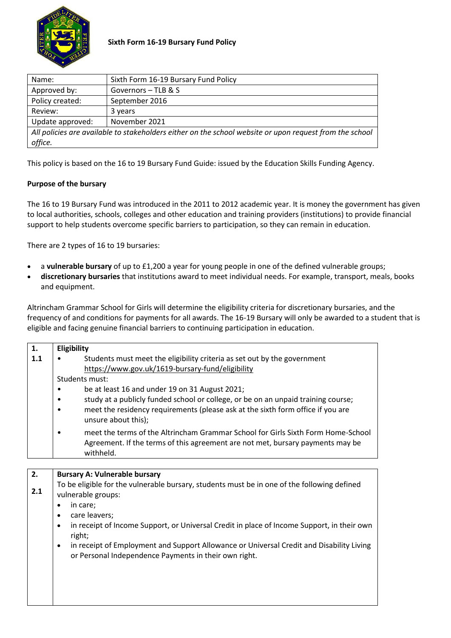

| Name:                                                                                                   | Sixth Form 16-19 Bursary Fund Policy |  |  |
|---------------------------------------------------------------------------------------------------------|--------------------------------------|--|--|
| Approved by:<br>Governors - TLB & S                                                                     |                                      |  |  |
| Policy created:<br>September 2016                                                                       |                                      |  |  |
| Review:                                                                                                 | 3 years                              |  |  |
| November 2021<br>Update approved:                                                                       |                                      |  |  |
| All policies are available to stakeholders either on the school website or upon request from the school |                                      |  |  |
| office.                                                                                                 |                                      |  |  |

This policy is based on the 16 to 19 Bursary Fund Guide: issued by the Education Skills Funding Agency.

## **Purpose of the bursary**

The 16 to 19 Bursary Fund was introduced in the 2011 to 2012 academic year. It is money the government has given to local authorities, schools, colleges and other education and training providers (institutions) to provide financial support to help students overcome specific barriers to participation, so they can remain in education.

There are 2 types of 16 to 19 bursaries:

- a **vulnerable bursary** of up to £1,200 a year for young people in one of the defined vulnerable groups;
- **discretionary bursaries** that institutions award to meet individual needs. For example, transport, meals, books and equipment.

Altrincham Grammar School for Girls will determine the eligibility criteria for discretionary bursaries, and the frequency of and conditions for payments for all awards. The 16-19 Bursary will only be awarded to a student that is eligible and facing genuine financial barriers to continuing participation in education.

| 1.  | Eligibility                                                                                                                                                                                                                                   |  |  |  |
|-----|-----------------------------------------------------------------------------------------------------------------------------------------------------------------------------------------------------------------------------------------------|--|--|--|
| 1.1 | Students must meet the eligibility criteria as set out by the government<br>https://www.gov.uk/1619-bursary-fund/eligibility                                                                                                                  |  |  |  |
|     | Students must:                                                                                                                                                                                                                                |  |  |  |
|     | be at least 16 and under 19 on 31 August 2021;<br>study at a publicly funded school or college, or be on an unpaid training course;<br>meet the residency requirements (please ask at the sixth form office if you are<br>unsure about this); |  |  |  |
|     | meet the terms of the Altrincham Grammar School for Girls Sixth Form Home-School<br>Agreement. If the terms of this agreement are not met, bursary payments may be<br>withheld.                                                               |  |  |  |
|     |                                                                                                                                                                                                                                               |  |  |  |
| 2.  | <b>Bursary A: Vulnerable bursary</b>                                                                                                                                                                                                          |  |  |  |
| 2.1 | To be eligible for the vulnerable bursary, students must be in one of the following defined<br>vulnerable groups:                                                                                                                             |  |  |  |
|     | in care;                                                                                                                                                                                                                                      |  |  |  |
|     | care leavers;<br>$\bullet$                                                                                                                                                                                                                    |  |  |  |
|     | in receipt of Income Support, or Universal Credit in place of Income Support, in their own<br>$\bullet$<br>right;                                                                                                                             |  |  |  |
|     | in receipt of Employment and Support Allowance or Universal Credit and Disability Living<br>$\bullet$<br>or Personal Independence Payments in their own right.                                                                                |  |  |  |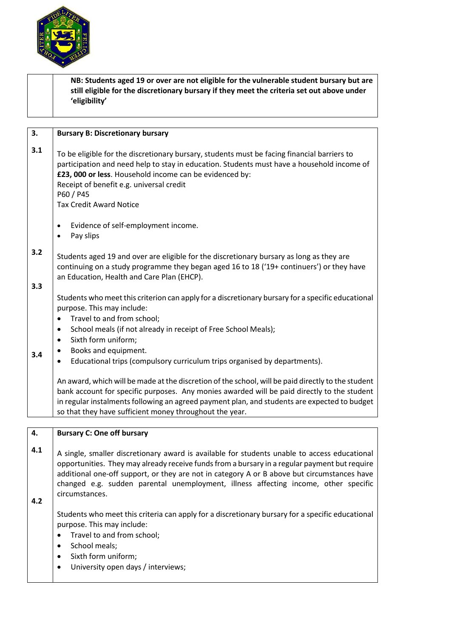

**NB: Students aged 19 or over are not eligible for the vulnerable student bursary but are still eligible for the discretionary bursary if they meet the criteria set out above under 'eligibility' 3. 3.1 3.2 3.3 3.4 Bursary B: Discretionary bursary** To be eligible for the discretionary bursary, students must be facing financial barriers to participation and need help to stay in education. Students must have a household income of **£23, 000 or less**. Household income can be evidenced by: Receipt of benefit e.g. universal credit P60 / P45 Tax Credit Award Notice Evidence of self-employment income. Pay slips Students aged 19 and over are eligible for the discretionary bursary as long as they are continuing on a study programme they began aged 16 to 18 ('19+ continuers') or they have an Education, Health and Care Plan (EHCP). Students who meet this criterion can apply for a discretionary bursary for a specific educational purpose. This may include: • Travel to and from school; • School meals (if not already in receipt of Free School Meals); Sixth form uniform; Books and equipment. Educational trips (compulsory curriculum trips organised by departments). An award, which will be made at the discretion of the school, will be paid directly to the student bank account for specific purposes. Any monies awarded will be paid directly to the student in regular instalments following an agreed payment plan, and students are expected to budget so that they have sufficient money throughout the year. **4. 4.1 4.2 Bursary C: One off bursary** A single, smaller discretionary award is available for students unable to access educational opportunities. They may already receive funds from a bursary in a regular payment but require additional one-off support, or they are not in category A or B above but circumstances have changed e.g. sudden parental unemployment, illness affecting income, other specific circumstances. Students who meet this criteria can apply for a discretionary bursary for a specific educational purpose. This may include: • Travel to and from school; School meals; Sixth form uniform;

University open days / interviews;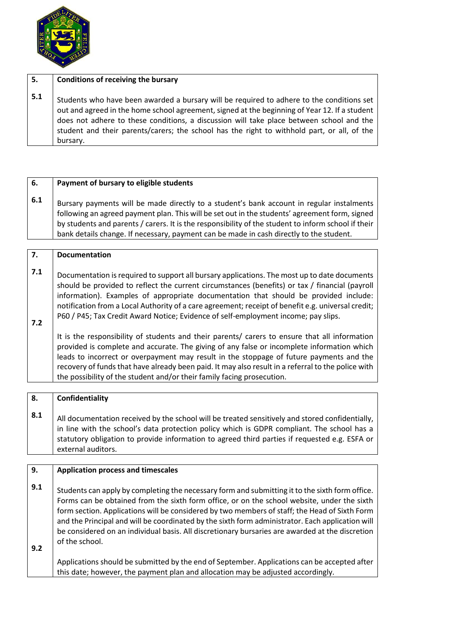

| 5.  | Conditions of receiving the bursary                                                                                                                                                                                                                                                                                                                                                               |
|-----|---------------------------------------------------------------------------------------------------------------------------------------------------------------------------------------------------------------------------------------------------------------------------------------------------------------------------------------------------------------------------------------------------|
| 5.1 | Students who have been awarded a bursary will be required to adhere to the conditions set<br>out and agreed in the home school agreement, signed at the beginning of Year 12. If a student<br>does not adhere to these conditions, a discussion will take place between school and the<br>student and their parents/carers; the school has the right to withhold part, or all, of the<br>bursary. |

| 6.  | Payment of bursary to eligible students                                                                                                                                                                                                                                                                                                                                                       |
|-----|-----------------------------------------------------------------------------------------------------------------------------------------------------------------------------------------------------------------------------------------------------------------------------------------------------------------------------------------------------------------------------------------------|
| 6.1 | Bursary payments will be made directly to a student's bank account in regular instalments<br>following an agreed payment plan. This will be set out in the students' agreement form, signed<br>by students and parents / carers. It is the responsibility of the student to inform school if their<br>bank details change. If necessary, payment can be made in cash directly to the student. |

| 7.         | <b>Documentation</b>                                                                                                                                                                                                                                                                                                                                                                                                                                                               |
|------------|------------------------------------------------------------------------------------------------------------------------------------------------------------------------------------------------------------------------------------------------------------------------------------------------------------------------------------------------------------------------------------------------------------------------------------------------------------------------------------|
| 7.1<br>7.2 | Documentation is required to support all bursary applications. The most up to date documents<br>should be provided to reflect the current circumstances (benefits) or tax / financial (payroll<br>information). Examples of appropriate documentation that should be provided include:<br>notification from a Local Authority of a care agreement; receipt of benefit e.g. universal credit;<br>P60 / P45; Tax Credit Award Notice; Evidence of self-employment income; pay slips. |
|            | It is the responsibility of students and their parents/ carers to ensure that all information<br>provided is complete and accurate. The giving of any false or incomplete information which<br>leads to incorrect or overpayment may result in the stoppage of future payments and the<br>recovery of funds that have already been paid. It may also result in a referral to the police with<br>the possibility of the student and/or their family facing prosecution.             |

|                                                                                                                                                                                                                                                                                                                      | 8.  |
|----------------------------------------------------------------------------------------------------------------------------------------------------------------------------------------------------------------------------------------------------------------------------------------------------------------------|-----|
| All documentation received by the school will be treated sensitively and stored confidentially,<br>in line with the school's data protection policy which is GDPR compliant. The school has a<br>statutory obligation to provide information to agreed third parties if requested e.g. ESFA or<br>external auditors. | 8.1 |

| 9.         | <b>Application process and timescales</b>                                                                                                                                                                                                                                                                                                                                                                                                                                                                                |
|------------|--------------------------------------------------------------------------------------------------------------------------------------------------------------------------------------------------------------------------------------------------------------------------------------------------------------------------------------------------------------------------------------------------------------------------------------------------------------------------------------------------------------------------|
| 9.1<br>9.2 | Students can apply by completing the necessary form and submitting it to the sixth form office.<br>Forms can be obtained from the sixth form office, or on the school website, under the sixth<br>form section. Applications will be considered by two members of staff; the Head of Sixth Form<br>and the Principal and will be coordinated by the sixth form administrator. Each application will<br>be considered on an individual basis. All discretionary bursaries are awarded at the discretion<br>of the school. |
|            | Applications should be submitted by the end of September. Applications can be accepted after<br>this date; however, the payment plan and allocation may be adjusted accordingly.                                                                                                                                                                                                                                                                                                                                         |